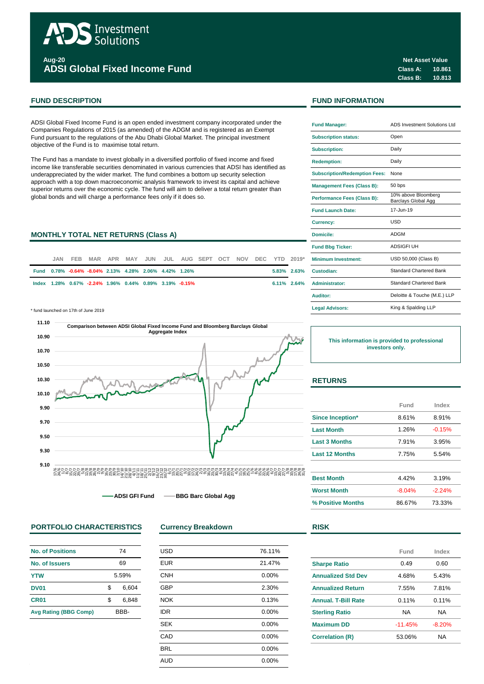

**Aug-20 ADSI Global Fixed Income Fund**

ADSI Global Fixed Income Fund is an open ended investment company incorporated under the Companies Regulations of 2015 (as amended) of the ADGM and is registered as an Exempt Fund pursuant to the regulations of the Abu Dhabi Global Market. The principal investment objective of the Fund is to maximise total return.

The Fund has a mandate to invest globally in a diversified portfolio of fixed income and fixed income like transferable securities denominated in various currencies that ADSI has identified as underappreciated by the wider market. The fund combines a bottom up security selection approach with a top down macroeconomic analysis framework to invest its capital and achieve superior returns over the economic cycle. The fund will aim to deliver a total return greater than global bonds and will charge a performance fees only if it does so.

## **MONTHLY TOTAL NET RETURNS (Class A)**

| JAN. |                                                         |  |  | FEB MAR APR MAY JUN JUL AUG SEPT OCT NOV DEC YTD 2019* |  |  | <b>Minimum Investment:</b> |
|------|---------------------------------------------------------|--|--|--------------------------------------------------------|--|--|----------------------------|
|      | Fund 0.78% -0.64% -8.04% 2.13% 4.28% 2.06% 4.42% 1.26%  |  |  |                                                        |  |  | 5.83% 2.63% Custodian:     |
|      | lndex 1.28% 0.67% -2.24% 1.96% 0.44% 0.89% 3.19% -0.15% |  |  |                                                        |  |  | 6.11% 2.64% Administrator: |

\* fund launched on 17th of June 2019 **Legal Advisors:**



**ADSI GFI Fund BBG Barc Global Agg**

# **PORTFOLIO CHARACTERISTICS Currency Breakdown RISK**

| No. of Positions             | 74    |       |  |  |
|------------------------------|-------|-------|--|--|
| No. of Issuers               | 69    |       |  |  |
| <b>YTW</b>                   | 5.59% |       |  |  |
| DV01                         | \$    | 6.604 |  |  |
| CR <sub>01</sub>             | \$    | 6.848 |  |  |
| <b>Avg Rating (BBG Comp)</b> | BBB-  |       |  |  |

| <b>USD</b> | 76.11% |
|------------|--------|
| <b>EUR</b> | 21.47% |
| <b>CNH</b> | 0.00%  |
| <b>GBP</b> | 2.30%  |
| <b>NOK</b> | 0.13%  |
| <b>IDR</b> | 0.00%  |
| <b>SEK</b> | 0.00%  |
| CAD        | 0.00%  |
| <b>BRL</b> | 0.00%  |
| <b>AUD</b> | 0.00%  |
|            |        |

**Class A: 10.861 Class B: 10.813 Net Asset Value**

# **FUND DESCRIPTION FUND INFORMATION**

| <b>Fund Manager:</b>                 | ADS Investment Solutions Ltd               |  |  |  |  |
|--------------------------------------|--------------------------------------------|--|--|--|--|
| <b>Subscription status:</b>          | Open                                       |  |  |  |  |
| <b>Subscription:</b>                 | Daily                                      |  |  |  |  |
| <b>Redemption:</b>                   | Daily                                      |  |  |  |  |
| <b>Subscription/Redemption Fees:</b> | None                                       |  |  |  |  |
| <b>Management Fees (Class B):</b>    | 50 bps                                     |  |  |  |  |
| <b>Performance Fees (Class B):</b>   | 10% above Bloomberg<br>Barclays Global Agg |  |  |  |  |
| <b>Fund Launch Date:</b>             | $17 - \ln n - 19$                          |  |  |  |  |
| <b>Currency:</b>                     | USD                                        |  |  |  |  |
| Domicile:                            | ADGM                                       |  |  |  |  |
| <b>Fund Bbg Ticker:</b>              | <b>ADSIGFI UH</b>                          |  |  |  |  |
| <b>Minimum Investment:</b>           | USD 50,000 (Class B)                       |  |  |  |  |
| Custodian:                           | <b>Standard Chartered Bank</b>             |  |  |  |  |
| <b>Administrator:</b>                | <b>Standard Chartered Bank</b>             |  |  |  |  |
| Auditor:                             | Deloitte & Touche (M.E.) LLP               |  |  |  |  |
| <b>Legal Advisors:</b>               | King & Spalding LLP                        |  |  |  |  |

**This information is provided to professional investors only.**

### **RETURNS**

|                       | Fund     | Index    |
|-----------------------|----------|----------|
| Since Inception*      | 8.61%    | 8.91%    |
| <b>Last Month</b>     | 1.26%    | $-0.15%$ |
| <b>Last 3 Months</b>  | 7.91%    | 3.95%    |
| <b>Last 12 Months</b> | 7.75%    | 5.54%    |
| <b>Best Month</b>     | 4.42%    | 3.19%    |
| <b>Worst Month</b>    | $-8.04%$ | $-2.24%$ |
| % Positive Months     | 86.67%   | 73.33%   |

|                            | Fund      | Index    |
|----------------------------|-----------|----------|
|                            |           |          |
| <b>Sharpe Ratio</b>        | 0.49      | 0.60     |
| <b>Annualized Std Dev</b>  | 4.68%     | 5.43%    |
| <b>Annualized Return</b>   | 7.55%     | 7.81%    |
| <b>Annual, T-Bill Rate</b> | 0.11%     | 0.11%    |
| <b>Sterling Ratio</b>      | NA        | ΝA       |
| <b>Maximum DD</b>          | $-11.45%$ | $-8.20%$ |
| <b>Correlation (R)</b>     | 53.06%    | NА       |